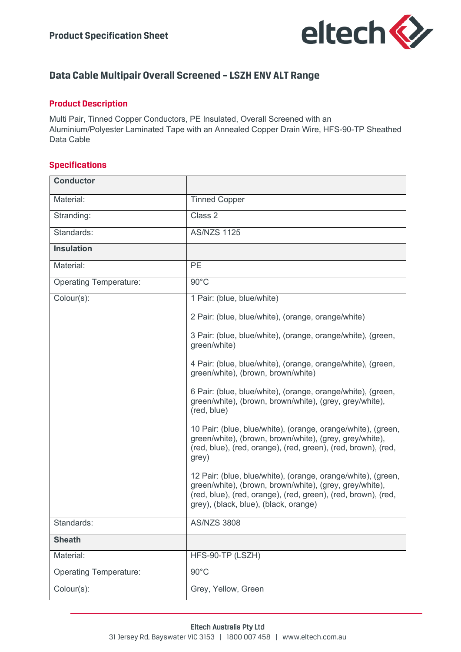

# **Data Cable Multipair Overall Screened – LSZH ENV ALT Range**

### **Product Description**

Multi Pair, Tinned Copper Conductors, PE Insulated, Overall Screened with an Aluminium/Polyester Laminated Tape with an Annealed Copper Drain Wire, HFS-90-TP Sheathed Data Cable

### **Specifications**

| <b>Conductor</b>              |                                                                                                                                                                                                                                   |  |  |  |  |
|-------------------------------|-----------------------------------------------------------------------------------------------------------------------------------------------------------------------------------------------------------------------------------|--|--|--|--|
| Material:                     | <b>Tinned Copper</b>                                                                                                                                                                                                              |  |  |  |  |
| Stranding:                    | Class 2                                                                                                                                                                                                                           |  |  |  |  |
| Standards:                    | <b>AS/NZS 1125</b>                                                                                                                                                                                                                |  |  |  |  |
| <b>Insulation</b>             |                                                                                                                                                                                                                                   |  |  |  |  |
| Material:                     | <b>PE</b>                                                                                                                                                                                                                         |  |  |  |  |
| <b>Operating Temperature:</b> | $90^{\circ}$ C                                                                                                                                                                                                                    |  |  |  |  |
| Colour(s):                    | 1 Pair: (blue, blue/white)                                                                                                                                                                                                        |  |  |  |  |
|                               | 2 Pair: (blue, blue/white), (orange, orange/white)                                                                                                                                                                                |  |  |  |  |
|                               | 3 Pair: (blue, blue/white), (orange, orange/white), (green,<br>green/white)                                                                                                                                                       |  |  |  |  |
|                               | 4 Pair: (blue, blue/white), (orange, orange/white), (green,<br>green/white), (brown, brown/white)                                                                                                                                 |  |  |  |  |
|                               | 6 Pair: (blue, blue/white), (orange, orange/white), (green,<br>green/white), (brown, brown/white), (grey, grey/white),<br>(red, blue)                                                                                             |  |  |  |  |
|                               | 10 Pair: (blue, blue/white), (orange, orange/white), (green,<br>green/white), (brown, brown/white), (grey, grey/white),<br>(red, blue), (red, orange), (red, green), (red, brown), (red,<br>grey)                                 |  |  |  |  |
|                               | 12 Pair: (blue, blue/white), (orange, orange/white), (green,<br>green/white), (brown, brown/white), (grey, grey/white),<br>(red, blue), (red, orange), (red, green), (red, brown), (red,<br>grey), (black, blue), (black, orange) |  |  |  |  |
| Standards:                    | <b>AS/NZS 3808</b>                                                                                                                                                                                                                |  |  |  |  |
| <b>Sheath</b>                 |                                                                                                                                                                                                                                   |  |  |  |  |
| Material:                     | HFS-90-TP (LSZH)                                                                                                                                                                                                                  |  |  |  |  |
| <b>Operating Temperature:</b> | $90^{\circ}$ C                                                                                                                                                                                                                    |  |  |  |  |
| Colour(s):                    | Grey, Yellow, Green                                                                                                                                                                                                               |  |  |  |  |